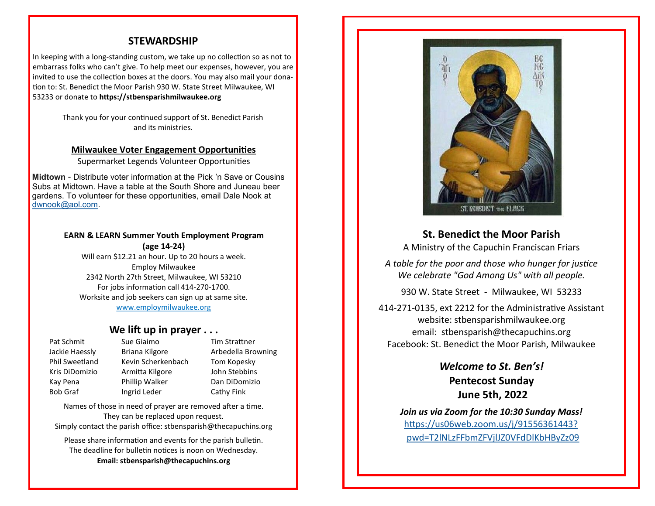## **STEWARDSHIP**

In keeping with a long-standing custom, we take up no collection so as not to embarrass folks who can't give. To help meet our expenses, however, you are invited to use the collection boxes at the doors. You may also mail your donation to: St. Benedict the Moor Parish 930 W. State Street Milwaukee, WI 53233 or donate to **https://stbensparishmilwaukee.org**

> Thank you for your continued support of St. Benedict Parish and its ministries.

#### **Milwaukee Voter Engagement Opportunities**

Supermarket Legends Volunteer Opportunities

**Midtown** - Distribute voter information at the Pick 'n Save or Cousins Subs at Midtown. Have a table at the South Shore and Juneau beer gardens. To volunteer for these opportunities, email Dale Nook at [dwnook@aol.com.](mailto:dwnook@aol.com)

## **EARN & LEARN Summer Youth Employment Program (age 14-24)**

Will earn \$12.21 an hour. Up to 20 hours a week. Employ Milwaukee 2342 North 27th Street, Milwaukee, WI 53210 For jobs information call 414-270-1700. Worksite and job seekers can sign up at same site. [www.employmilwaukee.org](http://www.employmilwaukee.org)

## **We lift up in prayer . . .**

Pat Schmit Sue Giaimo Tim Strattner Jackie Haessly Briana Kilgore **Arbedella Browning** Phil Sweetland Kevin Scherkenbach Tom Kopesky Kris DiDomizio Armitta Kilgore John Stebbins Kay Pena Phillip Walker Dan DiDomizio Bob Graf Ingrid Leder Cathy Fink

Names of those in need of prayer are removed after a time. They can be replaced upon request. Simply contact the parish office: stbensparish@thecapuchins.org

Please share information and events for the parish bulletin. The deadline for bulletin notices is noon on Wednesday. **Email: stbensparish@thecapuchins.org**



**St. Benedict the Moor Parish**

A Ministry of the Capuchin Franciscan Friars

*A table for the poor and those who hunger for justice We celebrate "God Among Us" with all people.* 

930 W. State Street - Milwaukee, WI 53233

414-271-0135, ext 2212 for the Administrative Assistant website: stbensparishmilwaukee.org email: stbensparish@thecapuchins.org Facebook: St. Benedict the Moor Parish, Milwaukee

> *Welcome to St. Ben's!* **Pentecost Sunday June 5th, 2022**

*Join us via Zoom for the 10:30 Sunday Mass!* [https://us06web.zoom.us/j/91556361443?](https://us06web.zoom.us/j/91556361443?pwd=T2lNLzFFbmZFVjlJZ0VFdDlKbHByZz09)   [pwd=T2lNLzFFbmZFVjlJZ0VFdDlKbHByZz09](https://us06web.zoom.us/j/91556361443?pwd=T2lNLzFFbmZFVjlJZ0VFdDlKbHByZz09)